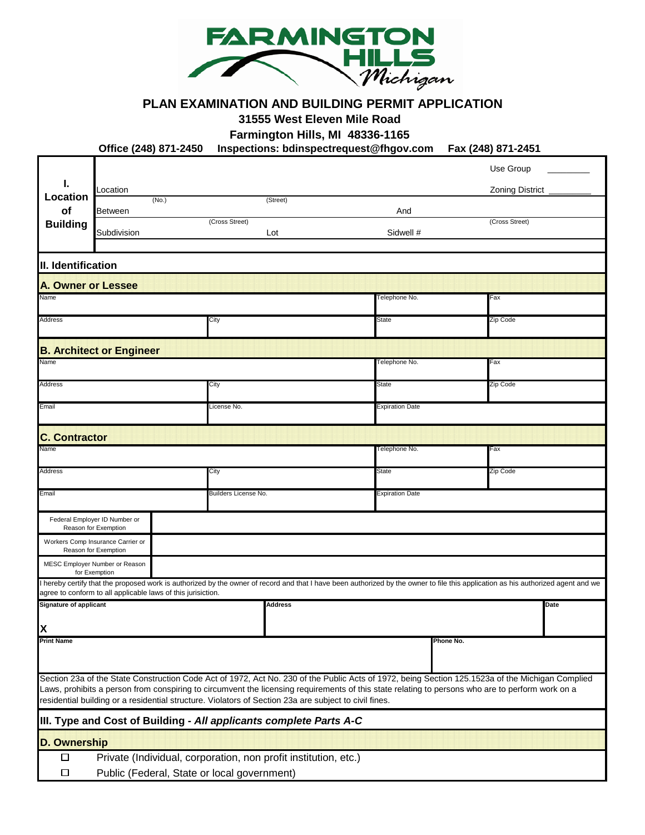

## **PLAN EXAMINATION AND BUILDING PERMIT APPLICATION**

**31555 West Eleven Mile Road**

**Farmington Hills, MI 48336-1165**

**Office (248) 871-2450 Inspections: bdinspectrequest@fhgov.com Fax (248) 871-2451**

|                                                                                                                                                                                                                                                                                                                                                                                                               |                                                              |       |                      |                                                                                                                                                                                 |               |                        |           | Use Group              |      |  |
|---------------------------------------------------------------------------------------------------------------------------------------------------------------------------------------------------------------------------------------------------------------------------------------------------------------------------------------------------------------------------------------------------------------|--------------------------------------------------------------|-------|----------------------|---------------------------------------------------------------------------------------------------------------------------------------------------------------------------------|---------------|------------------------|-----------|------------------------|------|--|
| ı.                                                                                                                                                                                                                                                                                                                                                                                                            | _ocation                                                     |       |                      |                                                                                                                                                                                 |               |                        |           | <b>Zoning District</b> |      |  |
| Location<br>of                                                                                                                                                                                                                                                                                                                                                                                                | <b>Between</b>                                               | (No.) |                      | (Street)                                                                                                                                                                        |               | And                    |           |                        |      |  |
| <b>Building</b>                                                                                                                                                                                                                                                                                                                                                                                               | Subdivision                                                  |       | (Cross Street)       | Lot                                                                                                                                                                             |               | Sidwell #              |           | (Cross Street)         |      |  |
|                                                                                                                                                                                                                                                                                                                                                                                                               |                                                              |       |                      |                                                                                                                                                                                 |               |                        |           |                        |      |  |
| II. Identification                                                                                                                                                                                                                                                                                                                                                                                            |                                                              |       |                      |                                                                                                                                                                                 |               |                        |           |                        |      |  |
| <b>A. Owner or Lessee</b>                                                                                                                                                                                                                                                                                                                                                                                     |                                                              |       |                      |                                                                                                                                                                                 |               |                        |           |                        |      |  |
| Name                                                                                                                                                                                                                                                                                                                                                                                                          |                                                              |       |                      |                                                                                                                                                                                 |               | Telephone No.          |           | Fax                    |      |  |
| Address                                                                                                                                                                                                                                                                                                                                                                                                       |                                                              |       | City                 |                                                                                                                                                                                 | State         |                        | Zip Code  |                        |      |  |
|                                                                                                                                                                                                                                                                                                                                                                                                               | <b>B. Architect or Engineer</b>                              |       |                      |                                                                                                                                                                                 |               |                        |           |                        |      |  |
| Name                                                                                                                                                                                                                                                                                                                                                                                                          |                                                              |       |                      |                                                                                                                                                                                 | Felephone No. |                        | Fax       |                        |      |  |
| Address                                                                                                                                                                                                                                                                                                                                                                                                       |                                                              |       |                      | City                                                                                                                                                                            |               | State                  |           | Zip Code               |      |  |
| Email                                                                                                                                                                                                                                                                                                                                                                                                         |                                                              |       | License No.          |                                                                                                                                                                                 |               | Expiration Date        |           |                        |      |  |
| <b>C. Contractor</b>                                                                                                                                                                                                                                                                                                                                                                                          |                                                              |       |                      |                                                                                                                                                                                 |               |                        |           |                        |      |  |
| Name                                                                                                                                                                                                                                                                                                                                                                                                          |                                                              |       |                      |                                                                                                                                                                                 |               | Telephone No.          |           | Fax                    |      |  |
| Address                                                                                                                                                                                                                                                                                                                                                                                                       |                                                              |       | City                 |                                                                                                                                                                                 | State         |                        | Zip Code  |                        |      |  |
| Email                                                                                                                                                                                                                                                                                                                                                                                                         |                                                              |       | Builders License No. |                                                                                                                                                                                 |               | <b>Expiration Date</b> |           |                        |      |  |
|                                                                                                                                                                                                                                                                                                                                                                                                               | Federal Employer ID Number or<br>Reason for Exemption        |       |                      |                                                                                                                                                                                 |               |                        |           |                        |      |  |
|                                                                                                                                                                                                                                                                                                                                                                                                               | Workers Comp Insurance Carrier or<br>Reason for Exemption    |       |                      |                                                                                                                                                                                 |               |                        |           |                        |      |  |
|                                                                                                                                                                                                                                                                                                                                                                                                               | MESC Employer Number or Reason<br>for Exemption              |       |                      |                                                                                                                                                                                 |               |                        |           |                        |      |  |
|                                                                                                                                                                                                                                                                                                                                                                                                               | agree to conform to all applicable laws of this jurisiction. |       |                      | hereby certify that the proposed work is authorized by the owner of record and that I have been authorized by the owner to file this application as his authorized agent and we |               |                        |           |                        |      |  |
| <b>Signature of applicant</b>                                                                                                                                                                                                                                                                                                                                                                                 |                                                              |       |                      | <b>Address</b>                                                                                                                                                                  |               |                        |           |                        | Date |  |
| X                                                                                                                                                                                                                                                                                                                                                                                                             |                                                              |       |                      |                                                                                                                                                                                 |               |                        |           |                        |      |  |
| <b>Print Name</b>                                                                                                                                                                                                                                                                                                                                                                                             |                                                              |       |                      |                                                                                                                                                                                 |               |                        | Phone No. |                        |      |  |
| Section 23a of the State Construction Code Act of 1972, Act No. 230 of the Public Acts of 1972, being Section 125.1523a of the Michigan Complied<br>Laws, prohibits a person from conspiring to circumvent the licensing requirements of this state relating to persons who are to perform work on a<br>residential building or a residential structure. Violators of Section 23a are subject to civil fines. |                                                              |       |                      |                                                                                                                                                                                 |               |                        |           |                        |      |  |
| III. Type and Cost of Building - All applicants complete Parts A-C                                                                                                                                                                                                                                                                                                                                            |                                                              |       |                      |                                                                                                                                                                                 |               |                        |           |                        |      |  |
| D. Ownership                                                                                                                                                                                                                                                                                                                                                                                                  |                                                              |       |                      |                                                                                                                                                                                 |               |                        |           |                        |      |  |
| □<br>Private (Individual, corporation, non profit institution, etc.)                                                                                                                                                                                                                                                                                                                                          |                                                              |       |                      |                                                                                                                                                                                 |               |                        |           |                        |      |  |
| $\Box$                                                                                                                                                                                                                                                                                                                                                                                                        | Public (Federal, State or local government)                  |       |                      |                                                                                                                                                                                 |               |                        |           |                        |      |  |